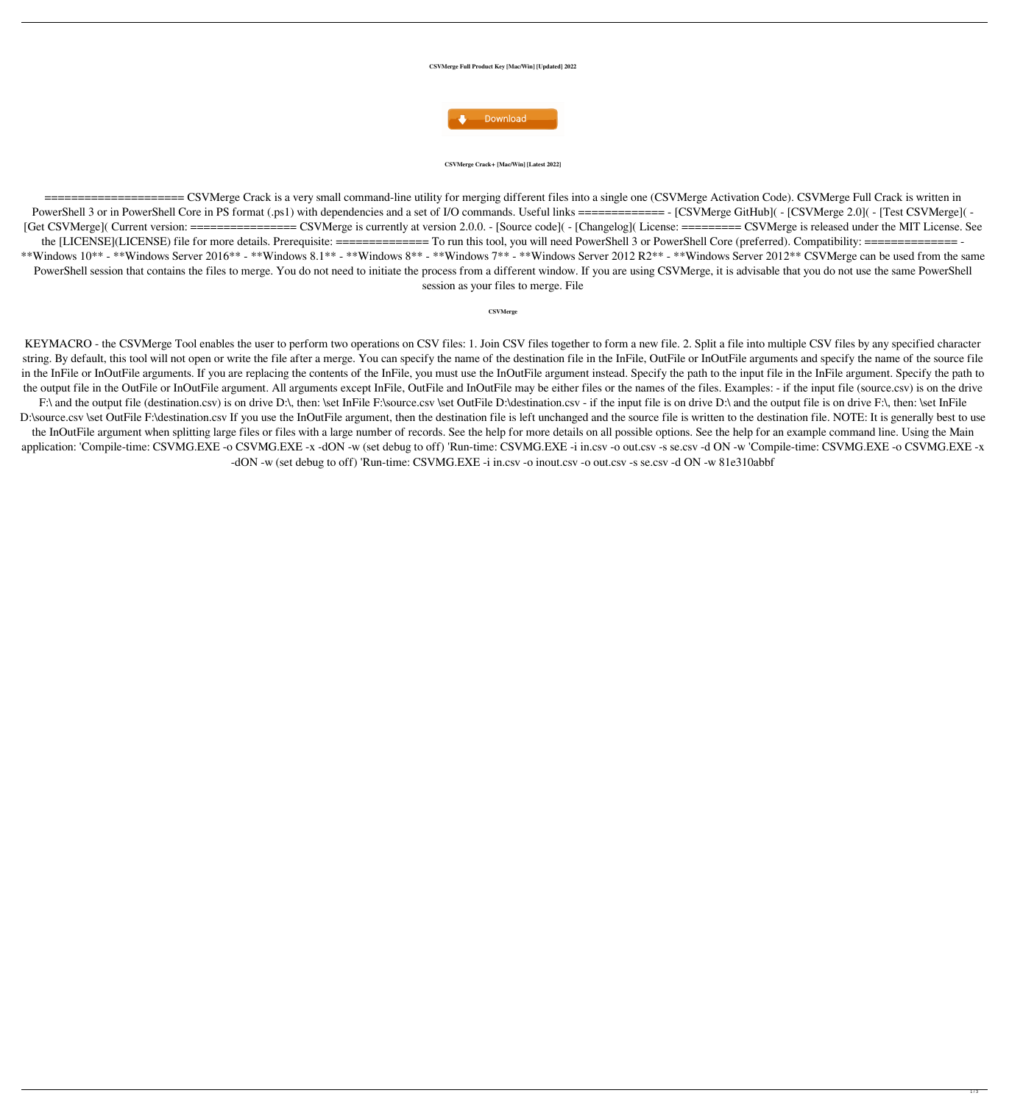### **CSVMerge Full Product Key [Mac/Win] [Updated] 2022**



### **CSVMerge Crack+ [Mac/Win] [Latest 2022]**

====================== CSVMerge Crack is a very small command-line utility for merging different files into a single one (CSVMerge Activation Code). CSVMerge Full Crack is written in PowerShell 3 or in PowerShell Core in PS format (.ps1) with dependencies and a set of I/O commands. Useful links ============ - [CSVMerge GitHub]( - [CSVMerge 2.0]( - [Test CSVMerge]( -[Get CSVMerge]( Current version: ================= CSVMerge is currently at version 2.0.0. - [Source code]( - [Changelog]( License: ======== CSVMerge is released under the MIT License. See the [LICENSE](LICENSE) file for more details. Prerequisite: ============== To run this tool, you will need PowerShell 3 or PowerShell Core (preferred). Compatibility: ============== - \*\*Windows  $10^{**}$  - \*\*Windows Server  $2016^{**}$  - \*\*Windows  $8.1^{**}$  - \*\*Windows  $8^{**}$  - \*\*Windows  $7^{**}$  - \*\*Windows Server  $2012 R2^{**}$  - \*\*Windows Server  $2012^{**}$  CSVMerge can be used from the same PowerShell session that contains the files to merge. You do not need to initiate the process from a different window. If you are using CSVMerge, it is advisable that you do not use the same PowerShell session as your files to merge. File

### **CSVMerge**

KEYMACRO - the CSVMerge Tool enables the user to perform two operations on CSV files: 1. Join CSV files together to form a new file. 2. Split a file into multiple CSV files by any specified character string. By default, this tool will not open or write the file after a merge. You can specify the name of the destination file in the InFile, OutFile or InOutFile arguments and specify the name of the source file in the InFile or InOutFile arguments. If you are replacing the contents of the InFile, you must use the InOutFile argument instead. Specify the path to the input file in the InFile argument. Specify the path to the output file in the OutFile or InOutFile argument. All arguments except InFile, OutFile and InOutFile may be either files or the names of the files. Examples: - if the input file (source.csv) is on the drive F:\ and the output file (destination.csv) is on drive D:\, then: \set InFile F:\source.csv \set OutFile D:\destination.csv - if the input file is on drive D:\ and the output file is on drive F:\, then: \set InFile D:\source.csv \set OutFile F:\destination.csv If you use the InOutFile argument, then the destination file is left unchanged and the source file is written to the destination file. NOTE: It is generally best to use the InOutFile argument when splitting large files or files with a large number of records. See the help for more details on all possible options. See the help for an example command line. Using the Main application: 'Compile-time: CSVMG.EXE -o CSVMG.EXE -x -dON -w (set debug to off) 'Run-time: CSVMG.EXE -i in.csv -o out.csv -s se.csv -d ON -w 'Compile-time: CSVMG.EXE -o CSVMG.EXE -x

-dON -w (set debug to off) 'Run-time: CSVMG.EXE -i in.csv -o inout.csv -o out.csv -s se.csv -d ON -w 81e310abbf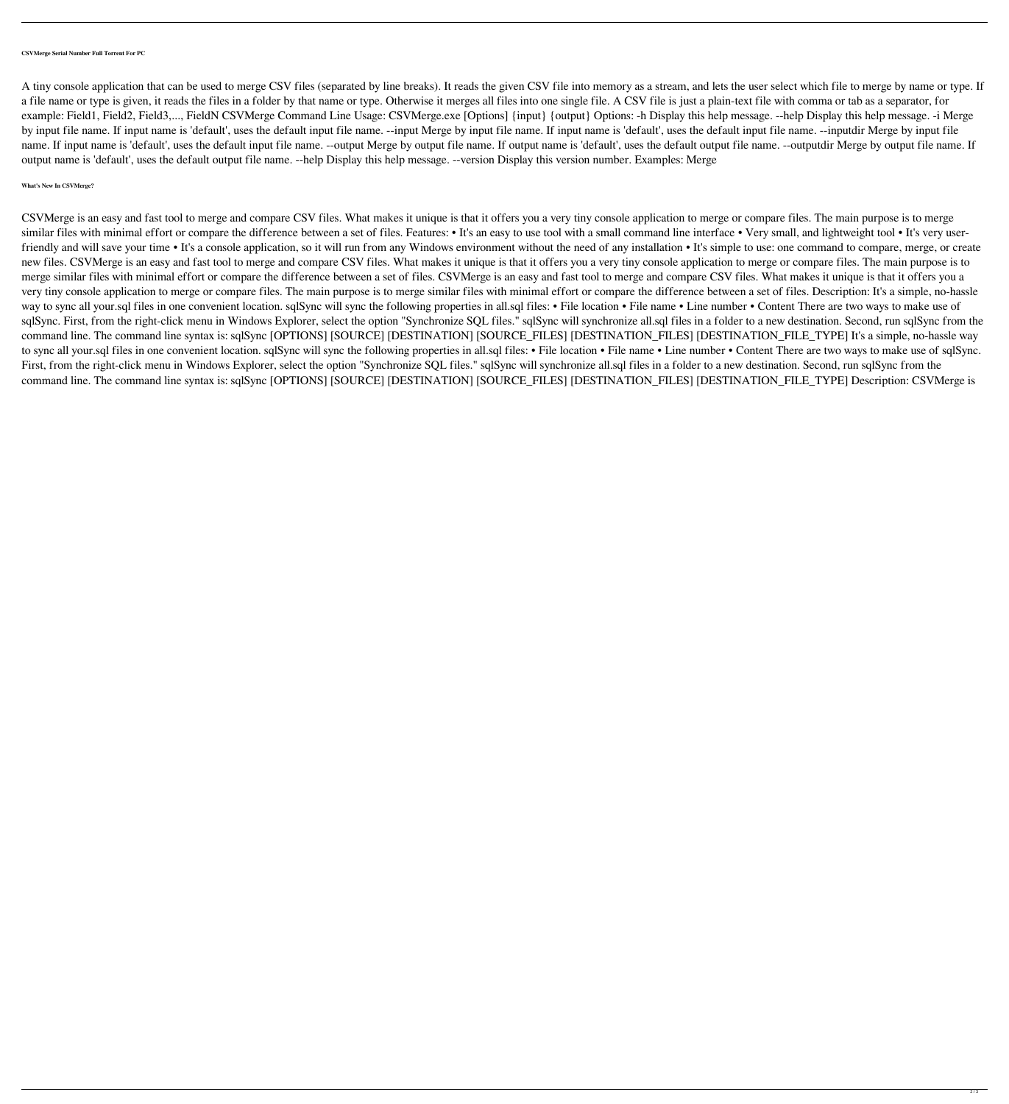## **CSVMerge Serial Number Full Torrent For PC**

A tiny console application that can be used to merge CSV files (separated by line breaks). It reads the given CSV file into memory as a stream, and lets the user select which file to merge by name or type. If a file name or type is given, it reads the files in a folder by that name or type. Otherwise it merges all files into one single file. A CSV file is just a plain-text file with comma or tab as a separator, for example: Field1, Field2, Field3,..., FieldN CSVMerge Command Line Usage: CSVMerge.exe [Options] {input} {output} Options: -h Display this help message. --help Display this help message. -i Merge by input file name. If input name is 'default', uses the default input file name. --input file name. If input name is 'default', uses the default input file name. --inputdir Merge by input file name. If input name is 'default', uses the default input file name. --output Merge by output file name. If output file name is 'default', uses the default output file name. --outputdir Merge by output file name. If output name is 'default', uses the default output file name. --help Display this help message. --version Display this version number. Examples: Merge

# **What's New In CSVMerge?**

CSVMerge is an easy and fast tool to merge and compare CSV files. What makes it unique is that it offers you a very tiny console application to merge or compare files. The main purpose is to merge similar files with minimal effort or compare the difference between a set of files. Features: • It's an easy to use tool with a small command line interface • Very small, and lightweight tool • It's very userfriendly and will save your time • It's a console application, so it will run from any Windows environment without the need of any installation • It's simple to use: one command to compare, merge, or create new files. CSVMerge is an easy and fast tool to merge and compare CSV files. What makes it unique is that it offers you a very tiny console application to merge or compare files. The main purpose is to merge similar files with minimal effort or compare the difference between a set of files. CSVMerge is an easy and fast tool to merge and compare CSV files. What makes it unique is that it offers you a very tiny console application to merge or compare files. The main purpose is to merge similar files with minimal effort or compare the difference between a set of files. Description: It's a simple, no-hassle way to sync all your.sql files in one convenient location. sqlSync will sync the following properties in all.sql files: • File location • File name • Line number • Content There are two ways to make use of sqlSync. First, from the right-click menu in Windows Explorer, select the option "Synchronize SQL files." sqlSync will synchronize all.sql files in a folder to a new destination. Second, run sqlSync from the command line. The command line syntax is: sqlSync [OPTIONS] [SOURCE] [DESTINATION] [SOURCE\_FILES] [DESTINATION\_FILES] [DESTINATION\_FILE\_TYPE] It's a simple, no-hassle way to sync all your.sql files in one convenient location. sqlSync will sync the following properties in all.sql files: • File location • File name • Line number • Content There are two ways to make use of sqlSync. First, from the right-click menu in Windows Explorer, select the option "Synchronize SQL files." sqlSync will synchronize all.sql files in a folder to a new destination. Second, run sqlSync from the command line. The command line syntax is: sqlSync [OPTIONS] [SOURCE] [DESTINATION] [SOURCE\_FILES] [DESTINATION\_FILES] [DESTINATION\_FILE\_TYPE] Description: CSVMerge is